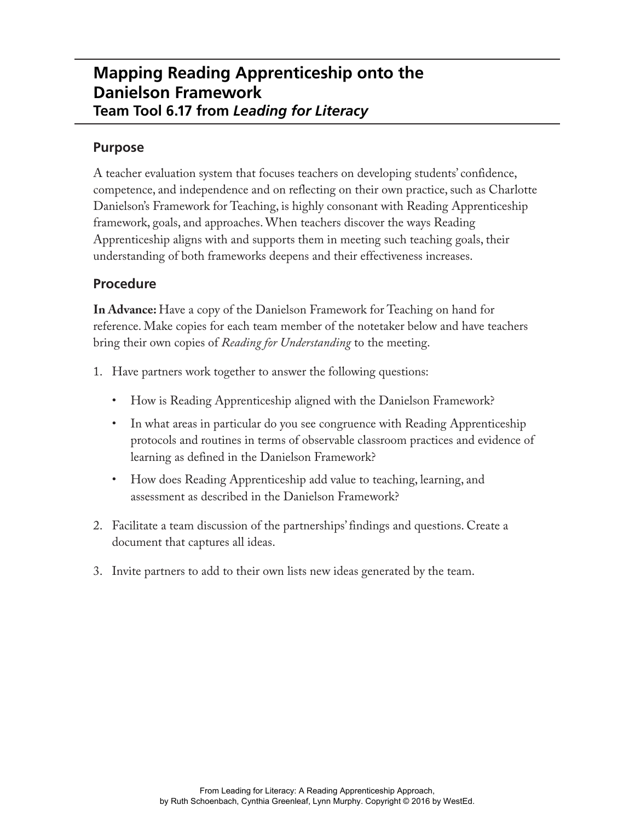## **Mapping Reading Apprenticeship onto the Danielson Framework Team Tool 6.17 from** *Leading for Literacy*

### **Purpose**

A teacher evaluation system that focuses teachers on developing students' confidence, competence, and independence and on reflecting on their own practice, such as Charlotte Danielson's Framework for Teaching, is highly consonant with Reading Apprenticeship framework, goals, and approaches. When teachers discover the ways Reading Apprenticeship aligns with and supports them in meeting such teaching goals, their understanding of both frameworks deepens and their effectiveness increases.

## **Procedure**

**In Advance:** Have a copy of the Danielson Framework for Teaching on hand for reference. Make copies for each team member of the notetaker below and have teachers bring their own copies of *Reading for Understanding* to the meeting.

- 1. Have partners work together to answer the following questions:
	- How is Reading Apprenticeship aligned with the Danielson Framework?
	- In what areas in particular do you see congruence with Reading Apprenticeship protocols and routines in terms of observable classroom practices and evidence of learning as defined in the Danielson Framework?
	- How does Reading Apprenticeship add value to teaching, learning, and assessment as described in the Danielson Framework?
- 2. Facilitate a team discussion of the partnerships' findings and questions. Create a document that captures all ideas.
- 3. Invite partners to add to their own lists new ideas generated by the team.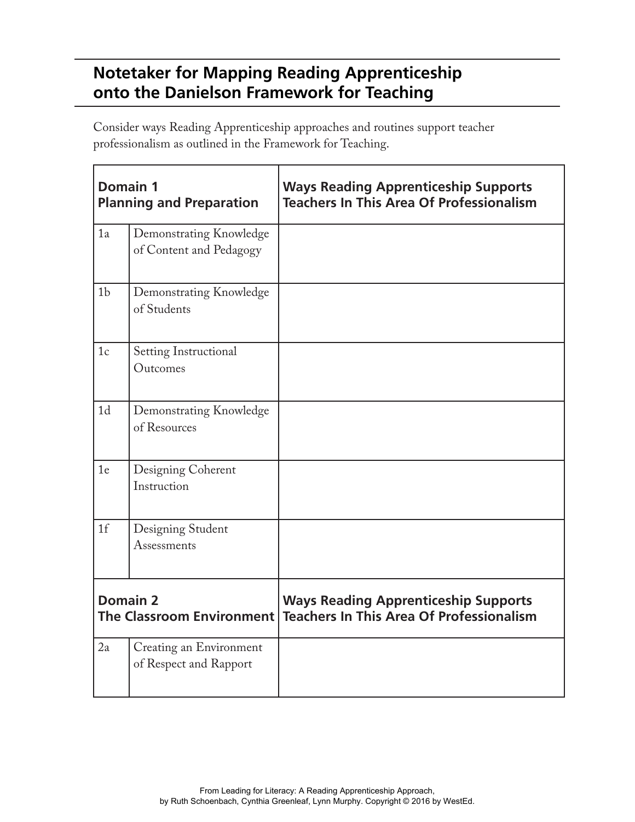# **Notetaker for Mapping Reading Apprenticeship onto the Danielson Framework for Teaching**

Consider ways Reading Apprenticeship approaches and routines support teacher professionalism as outlined in the Framework for Teaching.

| <b>Domain 1</b><br><b>Planning and Preparation</b>  |                                                    | <b>Ways Reading Apprenticeship Supports</b><br><b>Teachers In This Area Of Professionalism</b> |
|-----------------------------------------------------|----------------------------------------------------|------------------------------------------------------------------------------------------------|
| 1a                                                  | Demonstrating Knowledge<br>of Content and Pedagogy |                                                                                                |
| 1 <sub>b</sub>                                      | Demonstrating Knowledge<br>of Students             |                                                                                                |
| 1 <sub>c</sub>                                      | <b>Setting Instructional</b><br>Outcomes           |                                                                                                |
| 1 <sub>d</sub>                                      | Demonstrating Knowledge<br>of Resources            |                                                                                                |
| 1e                                                  | Designing Coherent<br>Instruction                  |                                                                                                |
| 1 <sup>f</sup>                                      | Designing Student<br>Assessments                   |                                                                                                |
| <b>Domain 2</b><br><b>The Classroom Environment</b> |                                                    | <b>Ways Reading Apprenticeship Supports</b><br><b>Teachers In This Area Of Professionalism</b> |
| 2a                                                  | Creating an Environment<br>of Respect and Rapport  |                                                                                                |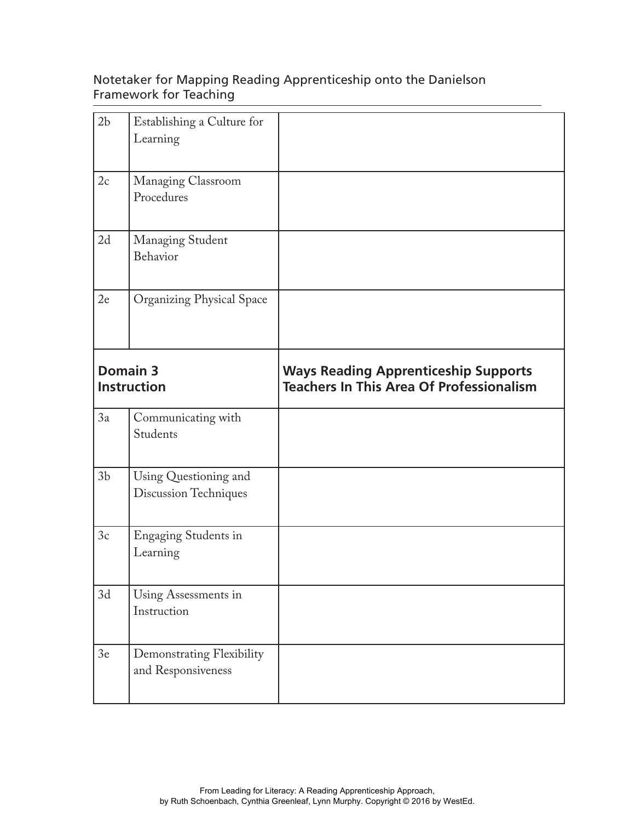### Notetaker for Mapping Reading Apprenticeship onto the Danielson Framework for Teaching

| 2 <sub>b</sub>                 | Establishing a Culture for<br>Learning          |                                                                                                |
|--------------------------------|-------------------------------------------------|------------------------------------------------------------------------------------------------|
| 2c                             | Managing Classroom<br>Procedures                |                                                                                                |
| 2d                             | Managing Student<br>Behavior                    |                                                                                                |
| 2e                             | <b>Organizing Physical Space</b>                |                                                                                                |
| Domain 3<br><b>Instruction</b> |                                                 | <b>Ways Reading Apprenticeship Supports</b><br><b>Teachers In This Area Of Professionalism</b> |
| 3a                             | Communicating with<br>Students                  |                                                                                                |
| 3 <sub>b</sub>                 | Using Questioning and<br>Discussion Techniques  |                                                                                                |
| 3c                             | Engaging Students in<br>Learning                |                                                                                                |
| 3d                             | Using Assessments in<br>Instruction             |                                                                                                |
| 3e                             | Demonstrating Flexibility<br>and Responsiveness |                                                                                                |